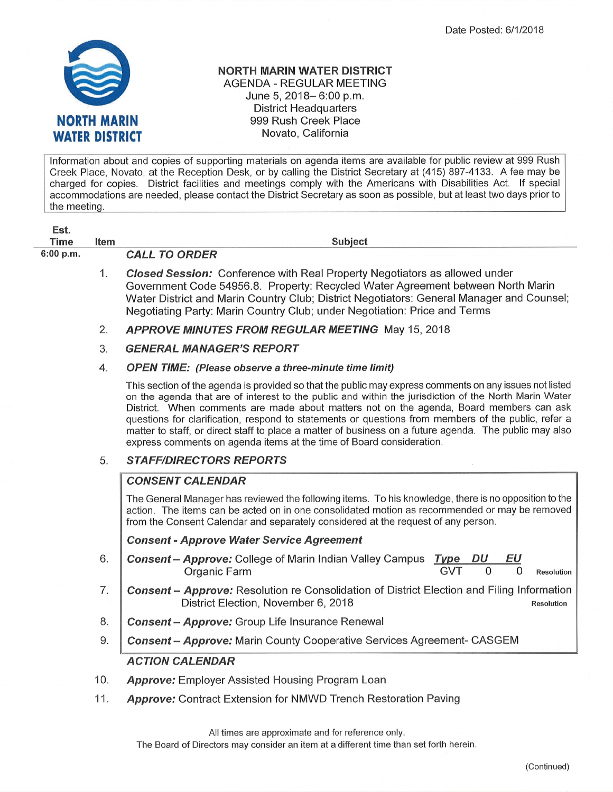

## NORTH MARIN WATER DISTRICT AGENDA - REGULAR MEETING June 5, 2018- 6:00 p.m. District Headquarters 999 Rush Creek Place Novato, California

lnformation about and copies of supporting materials on agenda items are available for public review at 999 Rush Creek Place, Novato, at the Reception Desk, or by calling the District Secretary at (415) 897-4133. A fee may be charged for copies. District facilities and meetings comply with the Americans with Disabilities Act. lf special accommodations are needed, please contact the District Secretary as soon as possible, but at least two days prior to the meetinq.

| Est.        |             |                                                                                                                                                                                                                                                                                                                                                                                                                                                                                                                                                                                                      |
|-------------|-------------|------------------------------------------------------------------------------------------------------------------------------------------------------------------------------------------------------------------------------------------------------------------------------------------------------------------------------------------------------------------------------------------------------------------------------------------------------------------------------------------------------------------------------------------------------------------------------------------------------|
| <b>Time</b> | <b>Item</b> | <b>Subject</b>                                                                                                                                                                                                                                                                                                                                                                                                                                                                                                                                                                                       |
| 6:00 p.m.   |             | <b>CALL TO ORDER</b>                                                                                                                                                                                                                                                                                                                                                                                                                                                                                                                                                                                 |
|             | 1.          | <b>Closed Session:</b> Conference with Real Property Negotiators as allowed under<br>Government Code 54956.8. Property: Recycled Water Agreement between North Marin<br>Water District and Marin Country Club; District Negotiators: General Manager and Counsel;<br>Negotiating Party: Marin Country Club; under Negotiation: Price and Terms                                                                                                                                                                                                                                                       |
|             | 2.          | <b>APPROVE MINUTES FROM REGULAR MEETING May 15, 2018</b>                                                                                                                                                                                                                                                                                                                                                                                                                                                                                                                                             |
|             | 3.          | <b>GENERAL MANAGER'S REPORT</b>                                                                                                                                                                                                                                                                                                                                                                                                                                                                                                                                                                      |
|             | 4.          | <b>OPEN TIME:</b> (Please observe a three-minute time limit)                                                                                                                                                                                                                                                                                                                                                                                                                                                                                                                                         |
|             |             | This section of the agenda is provided so that the public may express comments on any issues not listed<br>on the agenda that are of interest to the public and within the jurisdiction of the North Marin Water<br>District. When comments are made about matters not on the agenda, Board members can ask<br>questions for clarification, respond to statements or questions from members of the public, refer a<br>matter to staff, or direct staff to place a matter of business on a future agenda. The public may also<br>express comments on agenda items at the time of Board consideration. |
|             | 5.          | <b>STAFF/DIRECTORS REPORTS</b>                                                                                                                                                                                                                                                                                                                                                                                                                                                                                                                                                                       |
|             |             | <b>CONSENT CALENDAR</b>                                                                                                                                                                                                                                                                                                                                                                                                                                                                                                                                                                              |
|             |             | The General Manager has reviewed the following items. To his knowledge, there is no opposition to the<br>action. The items can be acted on in one consolidated motion as recommended or may be removed<br>from the Consent Calendar and separately considered at the request of any person.                                                                                                                                                                                                                                                                                                          |
|             |             | <b>Consent - Approve Water Service Agreement</b>                                                                                                                                                                                                                                                                                                                                                                                                                                                                                                                                                     |
|             | 6.          | <b>Consent - Approve:</b> College of Marin Indian Valley Campus<br>EU<br>Type<br>DU<br><b>GVT</b><br>0<br>$\Omega$<br>Organic Farm<br><b>Resolution</b>                                                                                                                                                                                                                                                                                                                                                                                                                                              |
|             | 7.          | Consent - Approve: Resolution re Consolidation of District Election and Filing Information<br>District Election, November 6, 2018<br><b>Resolution</b>                                                                                                                                                                                                                                                                                                                                                                                                                                               |
|             | 8.          | <b>Consent - Approve:</b> Group Life Insurance Renewal                                                                                                                                                                                                                                                                                                                                                                                                                                                                                                                                               |
|             | 9.          | <b>Consent - Approve:</b> Marin County Cooperative Services Agreement- CASGEM                                                                                                                                                                                                                                                                                                                                                                                                                                                                                                                        |
|             |             | <b>ACTION CALENDAR</b>                                                                                                                                                                                                                                                                                                                                                                                                                                                                                                                                                                               |
|             | 10.         | <b>Approve:</b> Employer Assisted Housing Program Loan                                                                                                                                                                                                                                                                                                                                                                                                                                                                                                                                               |

Approve: Contract Extension for NMWD Trench Restoration Paving 11

All times are approximate and for reference only.

The Board of Directors may consider an item at a different time than set forth herein.